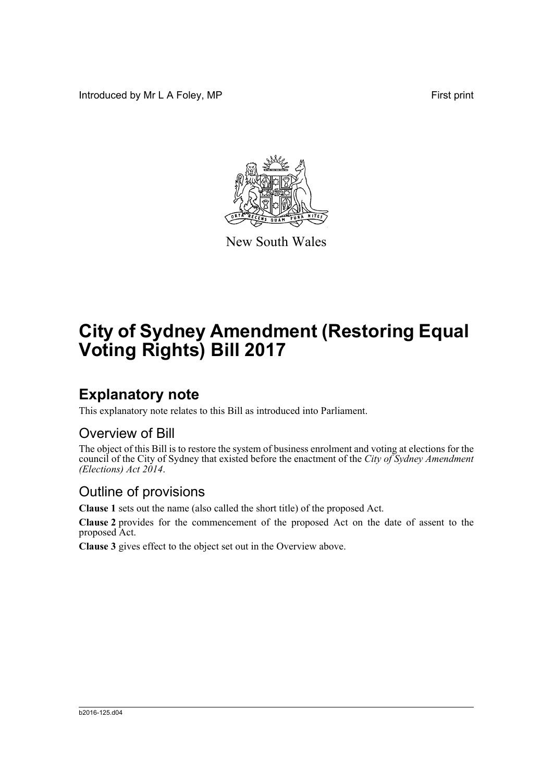Introduced by Mr L A Foley, MP First print



New South Wales

# **City of Sydney Amendment (Restoring Equal Voting Rights) Bill 2017**

## **Explanatory note**

This explanatory note relates to this Bill as introduced into Parliament.

#### Overview of Bill

The object of this Bill is to restore the system of business enrolment and voting at elections for the council of the City of Sydney that existed before the enactment of the *City of Sydney Amendment (Elections) Act 2014*.

#### Outline of provisions

**Clause 1** sets out the name (also called the short title) of the proposed Act.

**Clause 2** provides for the commencement of the proposed Act on the date of assent to the proposed Act.

**Clause 3** gives effect to the object set out in the Overview above.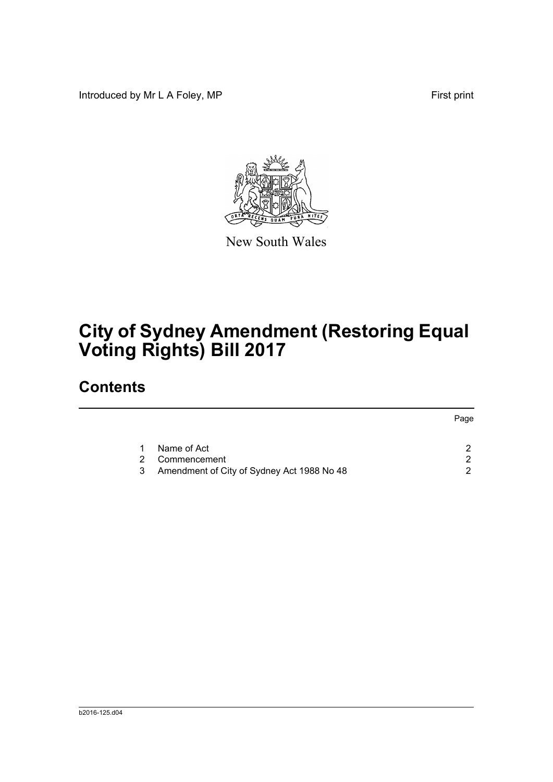Introduced by Mr L A Foley, MP First print



New South Wales

# **City of Sydney Amendment (Restoring Equal Voting Rights) Bill 2017**

## **Contents**

|   |                                            | Page |
|---|--------------------------------------------|------|
|   | Name of Act                                |      |
|   | Commencement                               | ົ    |
| 3 | Amendment of City of Sydney Act 1988 No 48 | ົ    |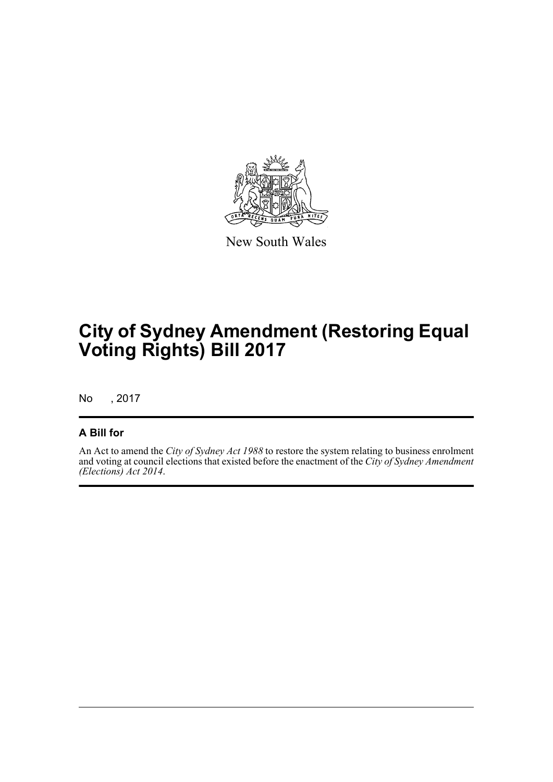

New South Wales

## **City of Sydney Amendment (Restoring Equal Voting Rights) Bill 2017**

No , 2017

#### **A Bill for**

An Act to amend the *City of Sydney Act 1988* to restore the system relating to business enrolment and voting at council elections that existed before the enactment of the *City of Sydney Amendment (Elections) Act 2014*.